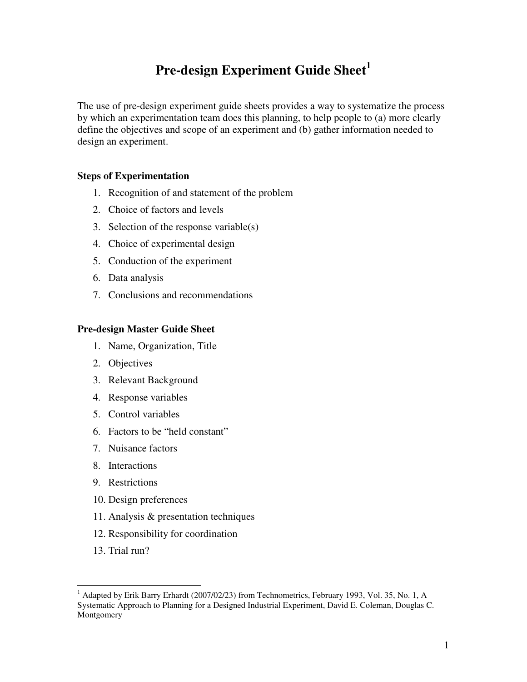# **Pre-design Experiment Guide Sheet<sup>1</sup>**

The use of pre-design experiment guide sheets provides a way to systematize the process by which an experimentation team does this planning, to help people to (a) more clearly define the objectives and scope of an experiment and (b) gather information needed to design an experiment.

# **Steps of Experimentation**

- 1. Recognition of and statement of the problem
- 2. Choice of factors and levels
- 3. Selection of the response variable(s)
- 4. Choice of experimental design
- 5. Conduction of the experiment
- 6. Data analysis
- 7. Conclusions and recommendations

## **Pre-design Master Guide Sheet**

- 1. Name, Organization, Title
- 2. Objectives
- 3. Relevant Background
- 4. Response variables
- 5. Control variables
- 6. Factors to be "held constant"
- 7. Nuisance factors
- 8. Interactions
- 9. Restrictions
- 10. Design preferences
- 11. Analysis & presentation techniques
- 12. Responsibility for coordination
- 13. Trial run?

<sup>&</sup>lt;sup>1</sup> Adapted by Erik Barry Erhardt (2007/02/23) from Technometrics, February 1993, Vol. 35, No. 1, A Systematic Approach to Planning for a Designed Industrial Experiment, David E. Coleman, Douglas C. Montgomery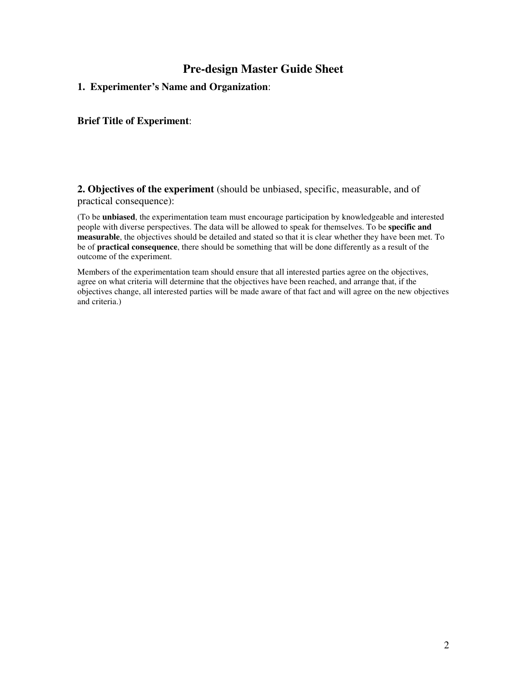# **Pre-design Master Guide Sheet**

**1. Experimenter's Name and Organization**:

**Brief Title of Experiment**:

**2. Objectives of the experiment** (should be unbiased, specific, measurable, and of practical consequence):

(To be **unbiased**, the experimentation team must encourage participation by knowledgeable and interested people with diverse perspectives. The data will be allowed to speak for themselves. To be **specific and measurable**, the objectives should be detailed and stated so that it is clear whether they have been met. To be of **practical consequence**, there should be something that will be done differently as a result of the outcome of the experiment.

Members of the experimentation team should ensure that all interested parties agree on the objectives, agree on what criteria will determine that the objectives have been reached, and arrange that, if the objectives change, all interested parties will be made aware of that fact and will agree on the new objectives and criteria.)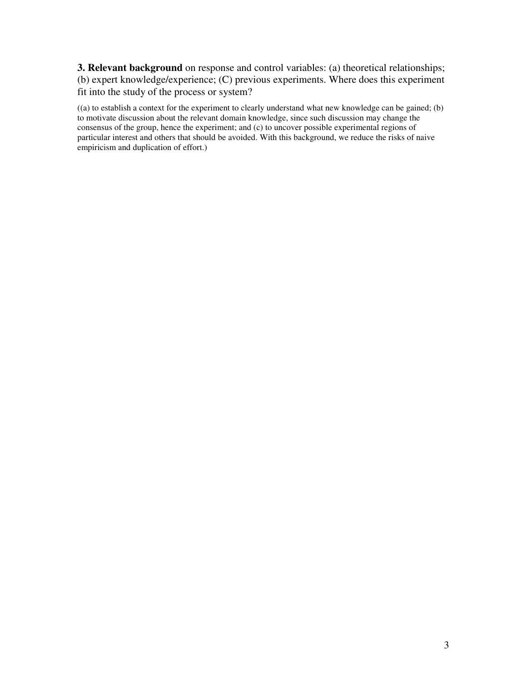**3. Relevant background** on response and control variables: (a) theoretical relationships; (b) expert knowledge/experience; (C) previous experiments. Where does this experiment fit into the study of the process or system?

((a) to establish a context for the experiment to clearly understand what new knowledge can be gained; (b) to motivate discussion about the relevant domain knowledge, since such discussion may change the consensus of the group, hence the experiment; and (c) to uncover possible experimental regions of particular interest and others that should be avoided. With this background, we reduce the risks of naive empiricism and duplication of effort.)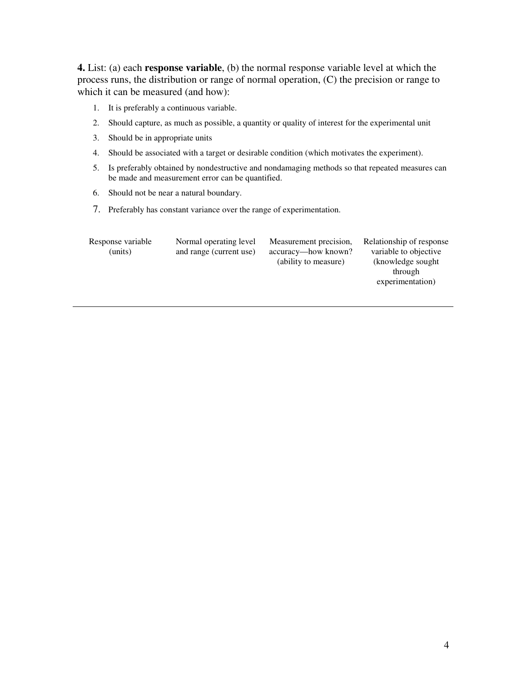**4.** List: (a) each **response variable**, (b) the normal response variable level at which the process runs, the distribution or range of normal operation, (C) the precision or range to which it can be measured (and how):

- 1. It is preferably a continuous variable.
- 2. Should capture, as much as possible, a quantity or quality of interest for the experimental unit
- 3. Should be in appropriate units
- 4. Should be associated with a target or desirable condition (which motivates the experiment).
- 5. Is preferably obtained by nondestructive and nondamaging methods so that repeated measures can be made and measurement error can be quantified.
- 6. Should not be near a natural boundary.
- 7. Preferably has constant variance over the range of experimentation.

| Response variable | Normal operating level  | Measurement precision, | Rela |
|-------------------|-------------------------|------------------------|------|
| (units)           | and range (current use) | accuracy—how known?    | Vź   |
|                   |                         | (ability to measure)   |      |
|                   |                         |                        |      |
|                   |                         |                        |      |

ationship of response ariable to objective knowledge sought through experimentation)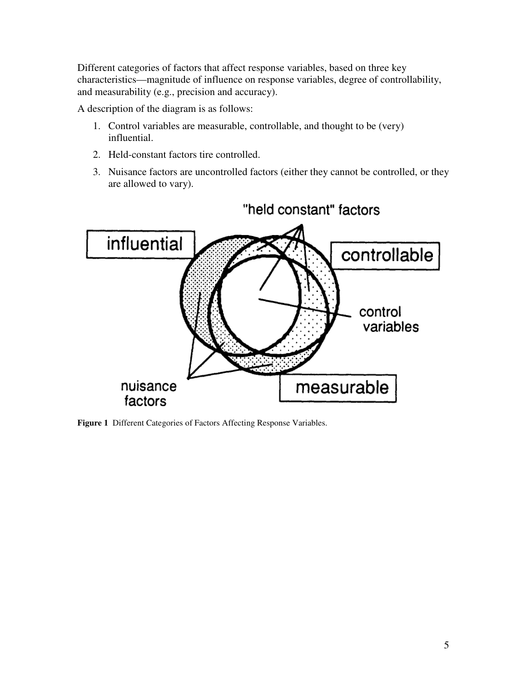Different categories of factors that affect response variables, based on three key characteristics—magnitude of influence on response variables, degree of controllability, and measurability (e.g., precision and accuracy).

A description of the diagram is as follows:

- 1. Control variables are measurable, controllable, and thought to be (very) influential.
- 2. Held-constant factors tire controlled.
- 3. Nuisance factors are uncontrolled factors (either they cannot be controlled, or they are allowed to vary).



"held constant" factors

**Figure 1** Different Categories of Factors Affecting Response Variables.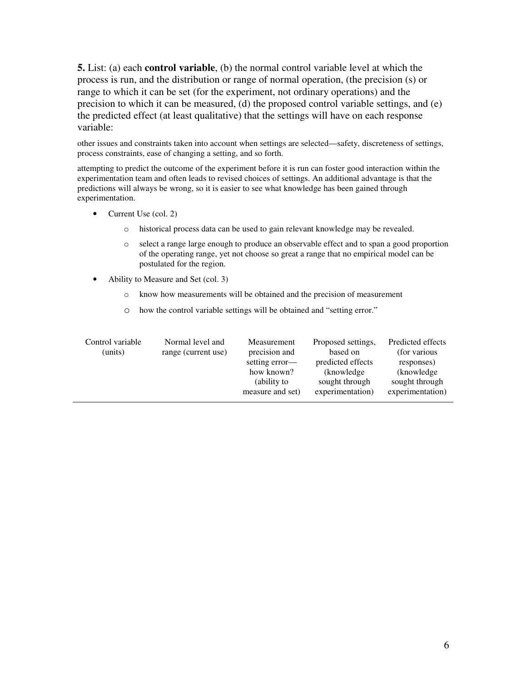**5.** List: (a) each **control variable**, (b) the normal control variable level at which the process is run, and the distribution or range of normal operation, (the precision (s) or range to which it can be set (for the experiment, not ordinary operations) and the precision to which it can be measured, (d) the proposed control variable settings, and (e) the predicted effect (at least qualitative) that the settings will have on each response variable:

other issues and constraints taken into account when settings are selected—safety, discreteness of settings, process constraints, ease of changing a setting, and so forth.

attempting to predict the outcome of the experiment before it is run can foster good interaction within the experimentation team and often leads to revised choices of settings. An additional advantage is that the predictions will always be wrong, so it is easier to see what knowledge has been gained through experimentation.

- Current Use (col. 2)
	- o historical process data can be used to gain relevant knowledge may be revealed.
	- o select a range large enough to produce an observable effect and to span a good proportion of the operating range, yet not choose so great a range that no empirical model can be postulated for the region.
- Ability to Measure and Set (col. 3)
	- o know how measurements will be obtained and the precision of measurement
	- o how the control variable settings will be obtained and "setting error."

| Control variable<br>(units) | Normal level and<br>range (current use) | Measurement<br>precision and | Proposed settings,<br>based on   | Predicted effects<br>(for various) |
|-----------------------------|-----------------------------------------|------------------------------|----------------------------------|------------------------------------|
|                             |                                         | setting error—<br>how known? | predicted effects<br>(knowledge) | responses)<br>(knowledge)          |
|                             |                                         | (ability to                  | sought through                   | sought through                     |
|                             |                                         | measure and set)             | experimentation)                 | experimentation)                   |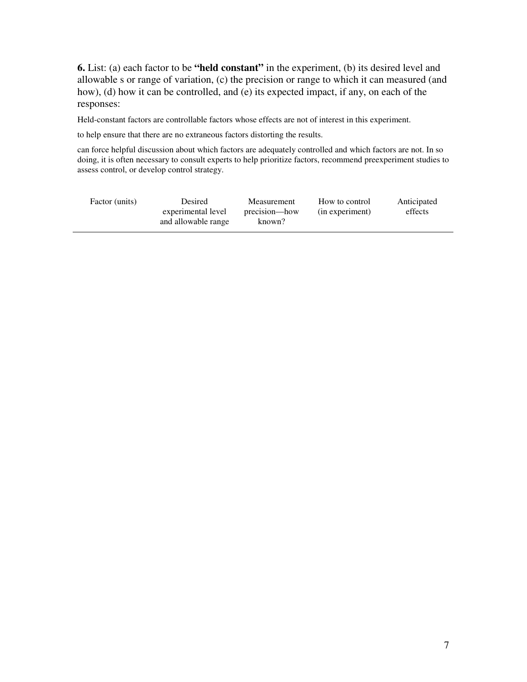**6.** List: (a) each factor to be **"held constant"** in the experiment, (b) its desired level and allowable s or range of variation, (c) the precision or range to which it can measured (and how), (d) how it can be controlled, and (e) its expected impact, if any, on each of the responses:

Held-constant factors are controllable factors whose effects are not of interest in this experiment.

to help ensure that there are no extraneous factors distorting the results.

can force helpful discussion about which factors are adequately controlled and which factors are not. In so doing, it is often necessary to consult experts to help prioritize factors, recommend preexperiment studies to assess control, or develop control strategy.

| Factor (units) | Desired             | Measurement   | How to control  | Anticipated |
|----------------|---------------------|---------------|-----------------|-------------|
|                | experimental level  | precision—how | (in experiment) | effects     |
|                | and allowable range | known?        |                 |             |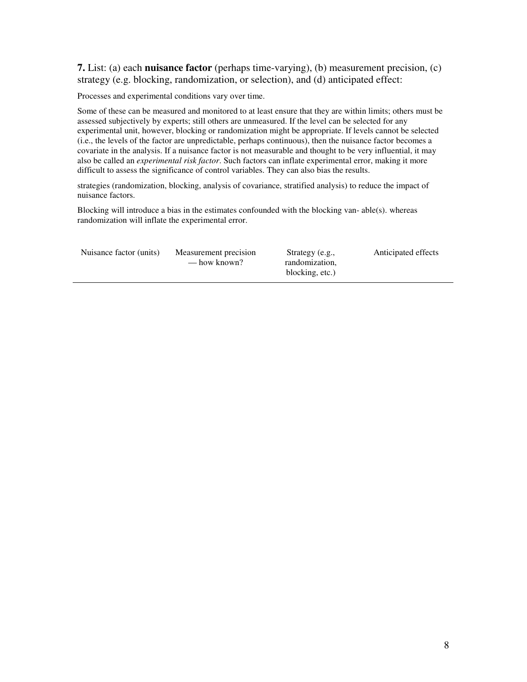**7.** List: (a) each **nuisance factor** (perhaps time-varying), (b) measurement precision, (c) strategy (e.g. blocking, randomization, or selection), and (d) anticipated effect:

Processes and experimental conditions vary over time.

Some of these can be measured and monitored to at least ensure that they are within limits; others must be assessed subjectively by experts; still others are unmeasured. If the level can be selected for any experimental unit, however, blocking or randomization might be appropriate. If levels cannot be selected (i.e., the levels of the factor are unpredictable, perhaps continuous), then the nuisance factor becomes a covariate in the analysis. If a nuisance factor is not measurable and thought to be very influential, it may also be called an *experimental risk factor*. Such factors can inflate experimental error, making it more difficult to assess the significance of control variables. They can also bias the results.

strategies (randomization, blocking, analysis of covariance, stratified analysis) to reduce the impact of nuisance factors.

Blocking will introduce a bias in the estimates confounded with the blocking van- able(s). whereas randomization will inflate the experimental error.

| Nuisance factor (units) | Measurement precision<br>— how known? | Strategy (e.g.,<br>randomization. | Anticipated effects |
|-------------------------|---------------------------------------|-----------------------------------|---------------------|
|                         |                                       | blocking, etc.)                   |                     |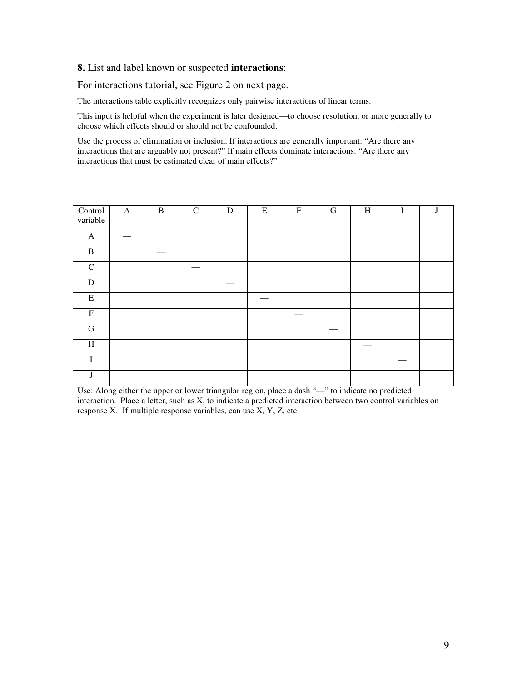#### **8.** List and label known or suspected **interactions**:

For interactions tutorial, see Figure 2 on next page.

The interactions table explicitly recognizes only pairwise interactions of linear terms.

This input is helpful when the experiment is later designed—to choose resolution, or more generally to choose which effects should or should not be confounded.

Use the process of elimination or inclusion. If interactions are generally important: "Are there any interactions that are arguably not present?" If main effects dominate interactions: "Are there any interactions that must be estimated clear of main effects?"

| Control<br>variable | $\mathbf{A}$ | $\, {\bf B}$ | $\mathbf C$ | ${\bf D}$ | ${\bf E}$ | $\boldsymbol{\mathrm{F}}$ | $\mathbf G$ | $\, {\rm H}$ | I |  |
|---------------------|--------------|--------------|-------------|-----------|-----------|---------------------------|-------------|--------------|---|--|
| $\mathbf{A}$        |              |              |             |           |           |                           |             |              |   |  |
| $\, {\bf B}$        |              |              |             |           |           |                           |             |              |   |  |
| $\mathsf{C}$        |              |              |             |           |           |                           |             |              |   |  |
| ${\bf D}$           |              |              |             |           |           |                           |             |              |   |  |
| $\mathbf E$         |              |              |             |           |           |                           |             |              |   |  |
| $\overline{F}$      |              |              |             |           |           |                           |             |              |   |  |
| ${\bf G}$           |              |              |             |           |           |                           |             |              |   |  |
| $\, {\rm H}$        |              |              |             |           |           |                           |             |              |   |  |
| $\bf I$             |              |              |             |           |           |                           |             |              |   |  |
| J                   |              |              |             |           |           |                           |             |              |   |  |

Use: Along either the upper or lower triangular region, place a dash "—" to indicate no predicted interaction. Place a letter, such as X, to indicate a predicted interaction between two control variables on response X. If multiple response variables, can use X, Y, Z, etc.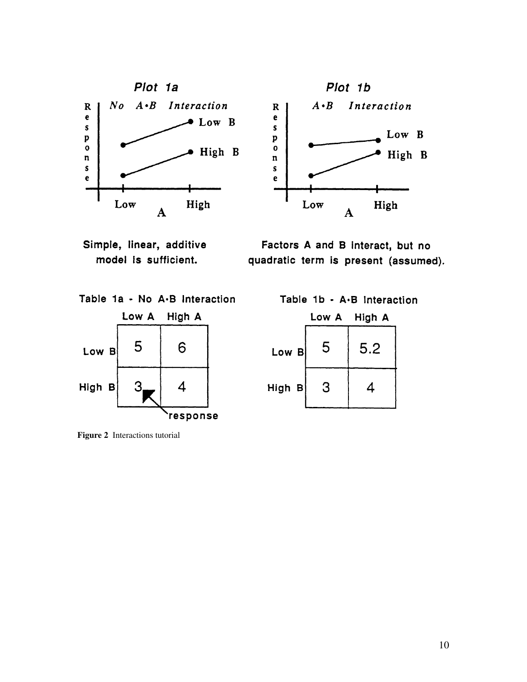

Simple, linear, additive model is sufficient.

Factors A and B interact, but no quadratic term is present (assumed).



**Figure 2** Interactions tutorial

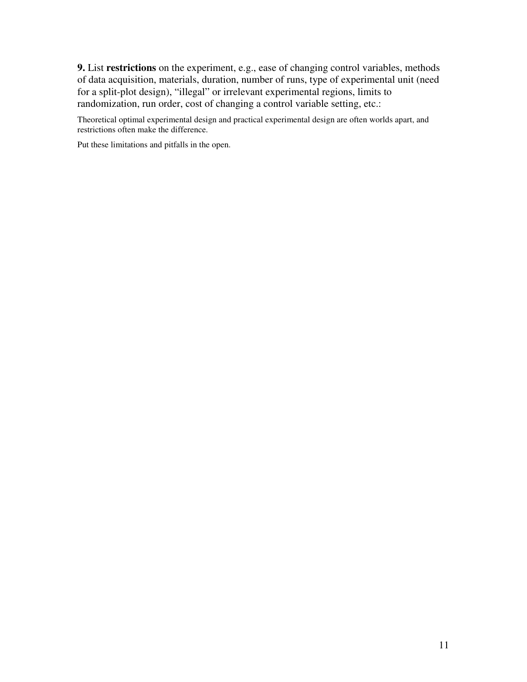**9.** List **restrictions** on the experiment, e.g., ease of changing control variables, methods of data acquisition, materials, duration, number of runs, type of experimental unit (need for a split-plot design), "illegal" or irrelevant experimental regions, limits to randomization, run order, cost of changing a control variable setting, etc.:

Theoretical optimal experimental design and practical experimental design are often worlds apart, and restrictions often make the difference.

Put these limitations and pitfalls in the open.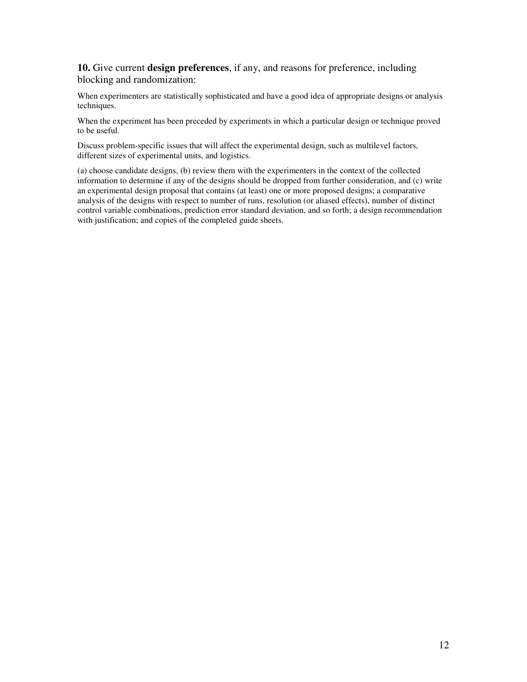### **10.** Give current **design preferences**, if any, and reasons for preference, including blocking and randomization:

When experimenters are statistically sophisticated and have a good idea of appropriate designs or analysis techniques.

When the experiment has been preceded by experiments in which a particular design or technique proved to be useful.

Discuss problem-specific issues that will affect the experimental design, such as multilevel factors, different sizes of experimental units, and logistics.

(a) choose candidate designs, (b) review them with the experimenters in the context of the collected information to determine if any of the designs should be dropped from further consideration, and (c) write an experimental design proposal that contains (at least) one or more proposed designs; a comparative analysis of the designs with respect to number of runs, resolution (or aliased effects), number of distinct control variable combinations, prediction error standard deviation, and so forth; a design recommendation with justification; and copies of the completed guide sheets.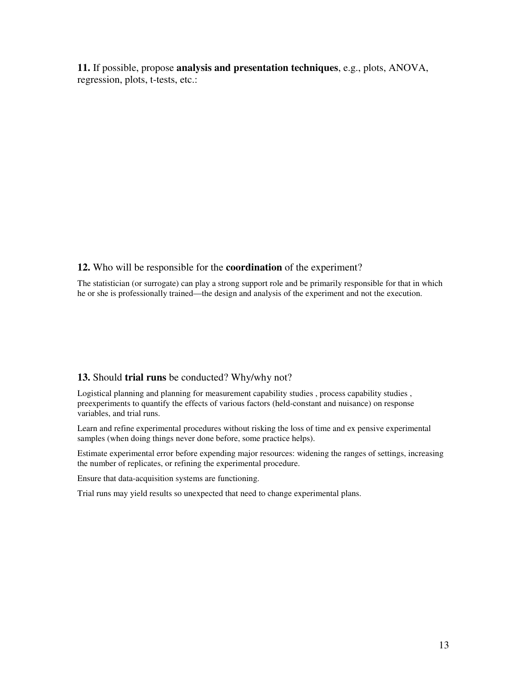**11.** If possible, propose **analysis and presentation techniques**, e.g., plots, ANOVA, regression, plots, t-tests, etc.:

#### **12.** Who will be responsible for the **coordination** of the experiment?

The statistician (or surrogate) can play a strong support role and be primarily responsible for that in which he or she is professionally trained—the design and analysis of the experiment and not the execution.

#### **13.** Should **trial runs** be conducted? Why/why not?

Logistical planning and planning for measurement capability studies , process capability studies , preexperiments to quantify the effects of various factors (held-constant and nuisance) on response variables, and trial runs.

Learn and refine experimental procedures without risking the loss of time and ex pensive experimental samples (when doing things never done before, some practice helps).

Estimate experimental error before expending major resources: widening the ranges of settings, increasing the number of replicates, or refining the experimental procedure.

Ensure that data-acquisition systems are functioning.

Trial runs may yield results so unexpected that need to change experimental plans.